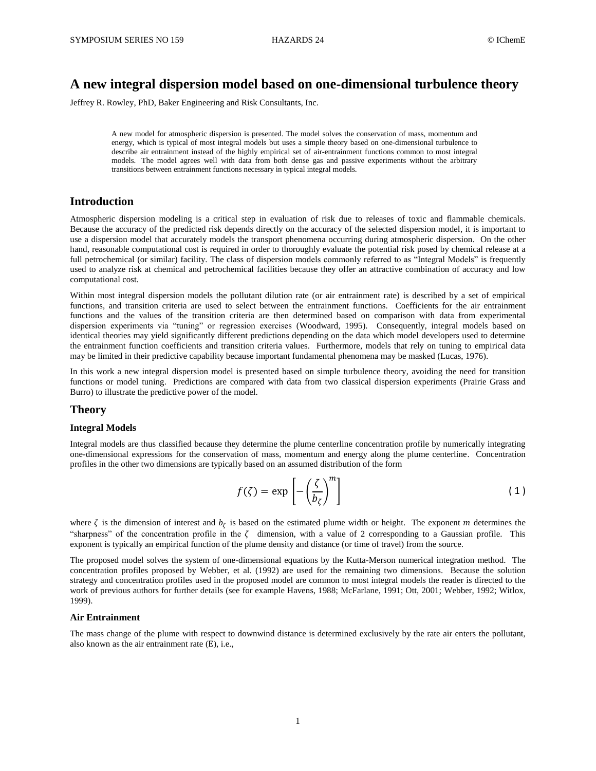# **A new integral dispersion model based on one-dimensional turbulence theory**

Jeffrey R. Rowley, PhD, Baker Engineering and Risk Consultants, Inc.

A new model for atmospheric dispersion is presented. The model solves the conservation of mass, momentum and energy, which is typical of most integral models but uses a simple theory based on one-dimensional turbulence to describe air entrainment instead of the highly empirical set of air-entrainment functions common to most integral models. The model agrees well with data from both dense gas and passive experiments without the arbitrary transitions between entrainment functions necessary in typical integral models.

# **Introduction**

Atmospheric dispersion modeling is a critical step in evaluation of risk due to releases of toxic and flammable chemicals. Because the accuracy of the predicted risk depends directly on the accuracy of the selected dispersion model, it is important to use a dispersion model that accurately models the transport phenomena occurring during atmospheric dispersion. On the other hand, reasonable computational cost is required in order to thoroughly evaluate the potential risk posed by chemical release at a full petrochemical (or similar) facility. The class of dispersion models commonly referred to as "Integral Models" is frequently used to analyze risk at chemical and petrochemical facilities because they offer an attractive combination of accuracy and low computational cost.

Within most integral dispersion models the pollutant dilution rate (or air entrainment rate) is described by a set of empirical functions, and transition criteria are used to select between the entrainment functions. Coefficients for the air entrainment functions and the values of the transition criteria are then determined based on comparison with data from experimental dispersion experiments via "tuning" or regression exercises (Woodward, 1995). Consequently, integral models based on identical theories may yield significantly different predictions depending on the data which model developers used to determine the entrainment function coefficients and transition criteria values. Furthermore, models that rely on tuning to empirical data may be limited in their predictive capability because important fundamental phenomena may be masked (Lucas, 1976).

In this work a new integral dispersion model is presented based on simple turbulence theory, avoiding the need for transition functions or model tuning. Predictions are compared with data from two classical dispersion experiments (Prairie Grass and Burro) to illustrate the predictive power of the model.

### **Theory**

### **Integral Models**

Integral models are thus classified because they determine the plume centerline concentration profile by numerically integrating one-dimensional expressions for the conservation of mass, momentum and energy along the plume centerline. Concentration profiles in the other two dimensions are typically based on an assumed distribution of the form

$$
f(\zeta) = \exp\left[-\left(\frac{\zeta}{b_{\zeta}}\right)^m\right]
$$
 (1)

where  $\zeta$  is the dimension of interest and  $b_{\zeta}$  is based on the estimated plume width or height. The exponent m determines the "sharpness" of the concentration profile in the  $\zeta$  dimension, with a value of 2 corresponding to a Gaussian profile. This exponent is typically an empirical function of the plume density and distance (or time of travel) from the source.

The proposed model solves the system of one-dimensional equations by the Kutta-Merson numerical integration method. The concentration profiles proposed by Webber, et al. (1992) are used for the remaining two dimensions. Because the solution strategy and concentration profiles used in the proposed model are common to most integral models the reader is directed to the work of previous authors for further details (see for example Havens, 1988; McFarlane, 1991; Ott, 2001; Webber, 1992; Witlox, 1999).

### **Air Entrainment**

The mass change of the plume with respect to downwind distance is determined exclusively by the rate air enters the pollutant, also known as the air entrainment rate  $(E)$ , i.e.,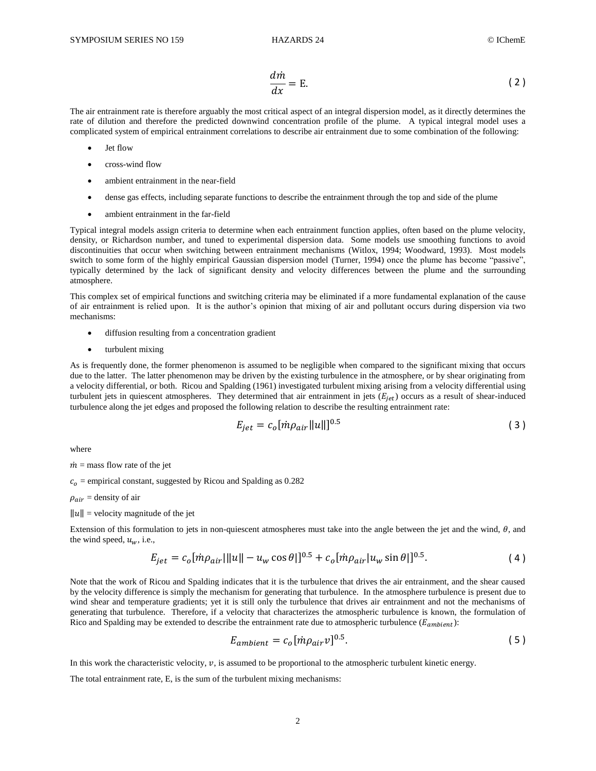$$
\frac{dm}{dx} = \mathbf{E}.\tag{2}
$$

The air entrainment rate is therefore arguably the most critical aspect of an integral dispersion model, as it directly determines the rate of dilution and therefore the predicted downwind concentration profile of the plume. A typical integral model uses a complicated system of empirical entrainment correlations to describe air entrainment due to some combination of the following:

- Jet flow
- cross-wind flow
- ambient entrainment in the near-field
- dense gas effects, including separate functions to describe the entrainment through the top and side of the plume
- ambient entrainment in the far-field

Typical integral models assign criteria to determine when each entrainment function applies, often based on the plume velocity, density, or Richardson number, and tuned to experimental dispersion data. Some models use smoothing functions to avoid discontinuities that occur when switching between entrainment mechanisms (Witlox, 1994; Woodward, 1993). Most models switch to some form of the highly empirical Gaussian dispersion model (Turner, 1994) once the plume has become "passive", typically determined by the lack of significant density and velocity differences between the plume and the surrounding atmosphere.

This complex set of empirical functions and switching criteria may be eliminated if a more fundamental explanation of the cause of air entrainment is relied upon. It is the author's opinion that mixing of air and pollutant occurs during dispersion via two mechanisms:

- diffusion resulting from a concentration gradient
- turbulent mixing

As is frequently done, the former phenomenon is assumed to be negligible when compared to the significant mixing that occurs due to the latter. The latter phenomenon may be driven by the existing turbulence in the atmosphere, or by shear originating from a velocity differential, or both. Ricou and Spalding (1961) investigated turbulent mixing arising from a velocity differential using turbulent jets in quiescent atmospheres. They determined that air entrainment in jets  $(E_{jet})$  occurs as a result of shear-induced turbulence along the jet edges and proposed the following relation to describe the resulting entrainment rate:

$$
E_{jet} = c_o [m\rho_{air} ||u||]^{0.5}
$$
 (3)

where

#### $\dot{m}$  = mass flow rate of the jet

 $c<sub>o</sub>$  = empirical constant, suggested by Ricou and Spalding as 0.282

$$
\rho_{air}
$$
 = density of air

 $||u||$  = velocity magnitude of the jet

Extension of this formulation to jets in non-quiescent atmospheres must take into the angle between the jet and the wind,  $\theta$ , and the wind speed,  $u_w$ , i.e.,

$$
E_{jet} = c_o[m\rho_{air}|||u|| - u_w \cos\theta|]^{0.5} + c_o[m\rho_{air}|u_w \sin\theta|]^{0.5}.
$$
 (4)

Note that the work of Ricou and Spalding indicates that it is the turbulence that drives the air entrainment, and the shear caused by the velocity difference is simply the mechanism for generating that turbulence. In the atmosphere turbulence is present due to wind shear and temperature gradients; yet it is still only the turbulence that drives air entrainment and not the mechanisms of generating that turbulence. Therefore, if a velocity that characterizes the atmospheric turbulence is known, the formulation of Rico and Spalding may be extended to describe the entrainment rate due to atmospheric turbulence ( $E_{ambient}$ ):

$$
E_{ambient} = c_o [m\rho_{air} v]^{0.5}.
$$
 (5)

In this work the characteristic velocity,  $v$ , is assumed to be proportional to the atmospheric turbulent kinetic energy.

The total entrainment rate, E, is the sum of the turbulent mixing mechanisms: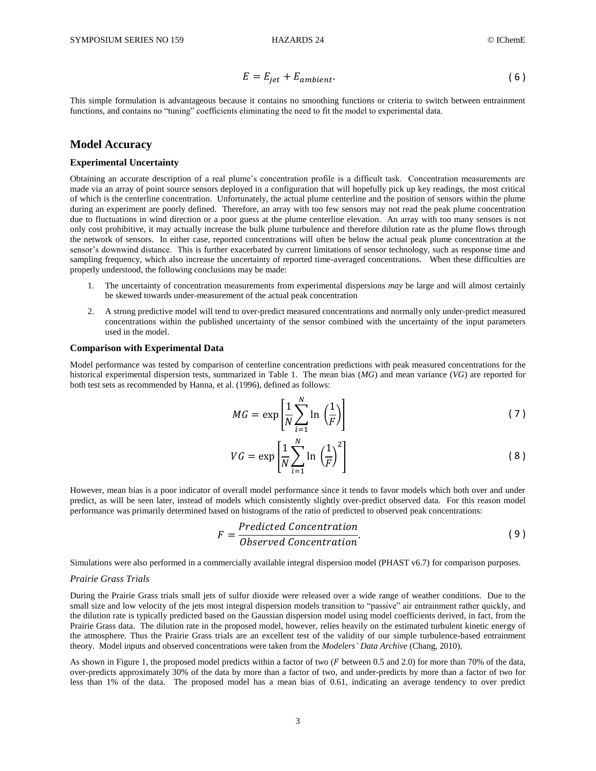$$
E = E_{jet} + E_{ambient}.
$$
 (6)

This simple formulation is advantageous because it contains no smoothing functions or criteria to switch between entrainment functions, and contains no "tuning" coefficients eliminating the need to fit the model to experimental data.

### **Model Accuracy**

### **Experimental Uncertainty**

Obtaining an accurate description of a real plume's concentration profile is a difficult task. Concentration measurements are made via an array of point source sensors deployed in a configuration that will hopefully pick up key readings, the most critical of which is the centerline concentration. Unfortunately, the actual plume centerline and the position of sensors within the plume during an experiment are poorly defined. Therefore, an array with too few sensors may not read the peak plume concentration due to fluctuations in wind direction or a poor guess at the plume centerline elevation. An array with too many sensors is not only cost prohibitive, it may actually increase the bulk plume turbulence and therefore dilution rate as the plume flows through the network of sensors. In either case, reported concentrations will often be below the actual peak plume concentration at the sensor's downwind distance. This is further exacerbated by current limitations of sensor technology, such as response time and sampling frequency, which also increase the uncertainty of reported time-averaged concentrations. When these difficulties are properly understood, the following conclusions may be made:

- The uncertainty of concentration measurements from experimental dispersions *may* be large and will almost certainly be skewed towards under-measurement of the actual peak concentration
- 2. A strong predictive model will tend to over-predict measured concentrations and normally only under-predict measured concentrations within the published uncertainty of the sensor combined with the uncertainty of the input parameters used in the model.

#### **Comparison with Experimental Data**

Model performance was tested by comparison of centerline concentration predictions with peak measured concentrations for the historical experimental dispersion tests, summarized in Table 1. The mean bias (*MG*) and mean variance (*VG*) are reported for both test sets as recommended by Hanna, et al. (1996), defined as follows:

$$
MG = \exp\left[\frac{1}{N}\sum_{i=1}^{N}\ln\left(\frac{1}{F}\right)\right]
$$
\n(7)

$$
VG = \exp\left[\frac{1}{N} \sum_{i=1}^{N} \ln\left(\frac{1}{F}\right)^{2}\right]
$$
 (8)

However, mean bias is a poor indicator of overall model performance since it tends to favor models which both over and under predict, as will be seen later, instead of models which consistently slightly over-predict observed data. For this reason model performance was primarily determined based on histograms of the ratio of predicted to observed peak concentrations:

$$
F = \frac{Predicted \; Convention}{Observed \; concentration}.\tag{9}
$$

Simulations were also performed in a commercially available integral dispersion model (PHAST v6.7) for comparison purposes.

#### *Prairie Grass Trials*

During the Prairie Grass trials small jets of sulfur dioxide were released over a wide range of weather conditions. Due to the small size and low velocity of the jets most integral dispersion models transition to "passive" air entrainment rather quickly, and the dilution rate is typically predicted based on the Gaussian dispersion model using model coefficients derived, in fact, from the Prairie Grass data. The dilution rate in the proposed model, however, relies heavily on the estimated turbulent kinetic energy of the atmosphere. Thus the Prairie Grass trials are an excellent test of the validity of our simple turbulence-based entrainment theory. Model inputs and observed concentrations were taken from the *Modelers' Data Archive* (Chang, 2010).

As shown in Figure 1, the proposed model predicts within a factor of two  $(F$  between 0.5 and 2.0) for more than 70% of the data, over-predicts approximately 30% of the data by more than a factor of two, and under-predicts by more than a factor of two for less than 1% of the data. The proposed model has a mean bias of 0.61, indicating an average tendency to over predict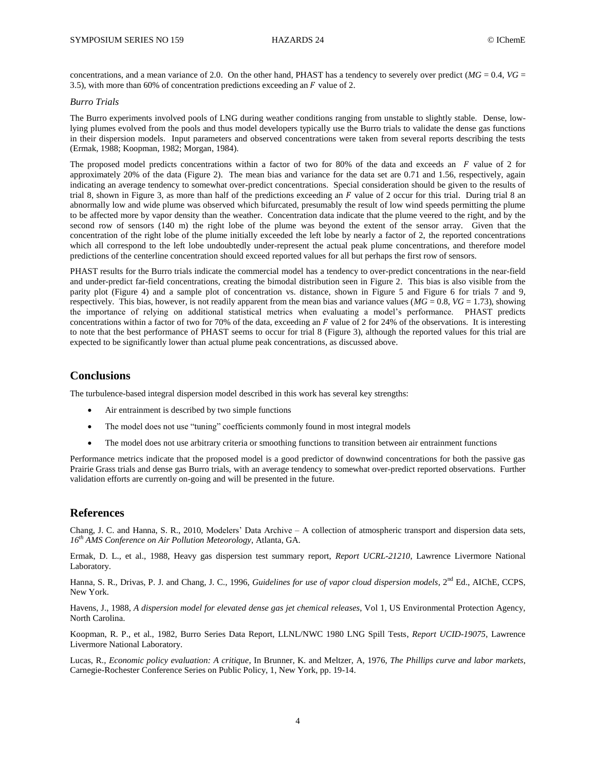concentrations, and a mean variance of 2.0. On the other hand, PHAST has a tendency to severely over predict  $(MG = 0.4, VG = 0.4, VG = 0.4, VG = 0.4, VG = 0.4, VG = 0.4, VG = 0.4, VG = 0.4$ 3.5), with more than 60% of concentration predictions exceeding an  $F$  value of 2.

### *Burro Trials*

The Burro experiments involved pools of LNG during weather conditions ranging from unstable to slightly stable. Dense, lowlying plumes evolved from the pools and thus model developers typically use the Burro trials to validate the dense gas functions in their dispersion models. Input parameters and observed concentrations were taken from several reports describing the tests (Ermak, 1988; Koopman, 1982; Morgan, 1984).

The proposed model predicts concentrations within a factor of two for 80% of the data and exceeds an  $\overline{F}$  value of 2 for approximately 20% of the data (Figure 2). The mean bias and variance for the data set are 0.71 and 1.56, respectively, again indicating an average tendency to somewhat over-predict concentrations. Special consideration should be given to the results of trial 8, shown in Figure 3, as more than half of the predictions exceeding an F value of 2 occur for this trial. During trial 8 an abnormally low and wide plume was observed which bifurcated, presumably the result of low wind speeds permitting the plume to be affected more by vapor density than the weather. Concentration data indicate that the plume veered to the right, and by the second row of sensors (140 m) the right lobe of the plume was beyond the extent of the sensor array. Given that the concentration of the right lobe of the plume initially exceeded the left lobe by nearly a factor of 2, the reported concentrations which all correspond to the left lobe undoubtedly under-represent the actual peak plume concentrations, and therefore model predictions of the centerline concentration should exceed reported values for all but perhaps the first row of sensors.

PHAST results for the Burro trials indicate the commercial model has a tendency to over-predict concentrations in the near-field and under-predict far-field concentrations, creating the bimodal distribution seen in Figure 2. This bias is also visible from the parity plot (Figure 4) and a sample plot of concentration vs. distance, shown in Figure 5 and Figure 6 for trials 7 and 9, respectively. This bias, however, is not readily apparent from the mean bias and variance values ( $MG = 0.8$ ,  $VG = 1.73$ ), showing the importance of relying on additional statistical metrics when evaluating a model's performance. PHAST predicts concentrations within a factor of two for 70% of the data, exceeding an  $F$  value of 2 for 24% of the observations. It is interesting to note that the best performance of PHAST seems to occur for trial 8 (Figure 3), although the reported values for this trial are expected to be significantly lower than actual plume peak concentrations, as discussed above.

# **Conclusions**

The turbulence-based integral dispersion model described in this work has several key strengths:

- Air entrainment is described by two simple functions
- The model does not use "tuning" coefficients commonly found in most integral models
- The model does not use arbitrary criteria or smoothing functions to transition between air entrainment functions

Performance metrics indicate that the proposed model is a good predictor of downwind concentrations for both the passive gas Prairie Grass trials and dense gas Burro trials, with an average tendency to somewhat over-predict reported observations. Further validation efforts are currently on-going and will be presented in the future.

# **References**

Chang, J. C. and Hanna, S. R., 2010, Modelers' Data Archive – A collection of atmospheric transport and dispersion data sets, *16th AMS Conference on Air Pollution Meteorology*, Atlanta, GA.

Ermak, D. L., et al., 1988, Heavy gas dispersion test summary report, *Report UCRL-21210*, Lawrence Livermore National Laboratory.

Hanna, S. R., Drivas, P. J. and Chang, J. C., 1996, *Guidelines for use of vapor cloud dispersion models*, 2<sup>nd</sup> Ed., AIChE, CCPS, New York.

Havens, J., 1988, *A dispersion model for elevated dense gas jet chemical releases*, Vol 1, US Environmental Protection Agency, North Carolina.

Koopman, R. P., et al., 1982, Burro Series Data Report, LLNL/NWC 1980 LNG Spill Tests, *Report UCID-19075*, Lawrence Livermore National Laboratory.

Lucas, R., *Economic policy evaluation: A critique*, In Brunner, K. and Meltzer, A, 1976, *The Phillips curve and labor markets*, Carnegie-Rochester Conference Series on Public Policy, 1, New York, pp. 19-14.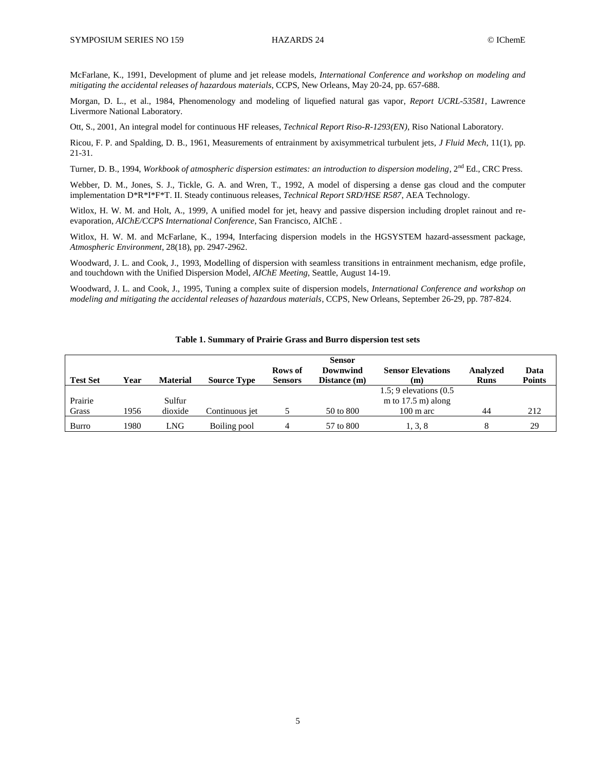McFarlane, K., 1991, Development of plume and jet release models, *International Conference and workshop on modeling and mitigating the accidental releases of hazardous materials*, CCPS, New Orleans, May 20-24, pp. 657-688.

Morgan, D. L., et al., 1984, Phenomenology and modeling of liquefied natural gas vapor, *Report UCRL-53581*, Lawrence Livermore National Laboratory.

Ott, S., 2001, An integral model for continuous HF releases, *Technical Report Riso-R-1293(EN)*, Riso National Laboratory.

Ricou, F. P. and Spalding, D. B., 1961, Measurements of entrainment by axisymmetrical turbulent jets, *J Fluid Mech*, 11(1), pp. 21-31.

Turner, D. B., 1994, *Workbook of atmospheric dispersion estimates: an introduction to dispersion modeling*, 2<sup>nd</sup> Ed., CRC Press.

Webber, D. M., Jones, S. J., Tickle, G. A. and Wren, T., 1992, A model of dispersing a dense gas cloud and the computer implementation D\*R\*I\*F\*T. II. Steady continuous releases, *Technical Report SRD/HSE R587*, AEA Technology.

Witlox, H. W. M. and Holt, A., 1999, A unified model for jet, heavy and passive dispersion including droplet rainout and reevaporation, *AIChE/CCPS International Conference*, San Francisco, AIChE .

Witlox, H. W. M. and McFarlane, K., 1994, Interfacing dispersion models in the HGSYSTEM hazard-assessment package, *Atmospheric Environment*, 28(18), pp. 2947-2962.

Woodward, J. L. and Cook, J., 1993, Modelling of dispersion with seamless transitions in entrainment mechanism, edge profile, and touchdown with the Unified Dispersion Model, *AIChE Meeting*, Seattle, August 14-19.

Woodward, J. L. and Cook, J., 1995, Tuning a complex suite of dispersion models, *International Conference and workshop on modeling and mitigating the accidental releases of hazardous materials*, CCPS, New Orleans, September 26-29, pp. 787-824.

|  |  | Table 1. Summary of Prairie Grass and Burro dispersion test sets |  |  |
|--|--|------------------------------------------------------------------|--|--|
|--|--|------------------------------------------------------------------|--|--|

|                 | <b>Sensor</b> |                 |                    |                |              |                              |             |               |
|-----------------|---------------|-----------------|--------------------|----------------|--------------|------------------------------|-------------|---------------|
|                 |               |                 |                    | Rows of        | Downwind     | <b>Sensor Elevations</b>     | Analyzed    | Data          |
| <b>Test Set</b> | Year          | <b>Material</b> | <b>Source Type</b> | <b>Sensors</b> | Distance (m) | (m                           | <b>Runs</b> | <b>Points</b> |
|                 |               |                 |                    |                |              | $1.5$ ; 9 elevations $(0.5)$ |             |               |
| Prairie         |               | Sulfur          |                    |                |              | m to $17.5$ m) along         |             |               |
| Grass           | 1956          | dioxide         | Continuous iet     |                | 50 to 800    | $100 \text{ m}$ arc          | 44          | 212           |
| Burro           | 1980          | LNG             | Boiling pool       |                | 57 to 800    | 1, 3, 8                      |             | 29            |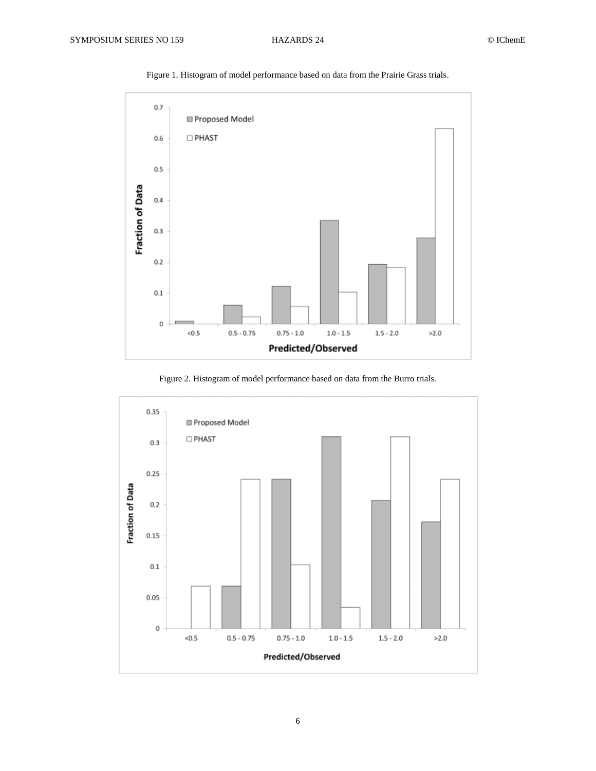

Figure 1. Histogram of model performance based on data from the Prairie Grass trials.

Figure 2. Histogram of model performance based on data from the Burro trials.

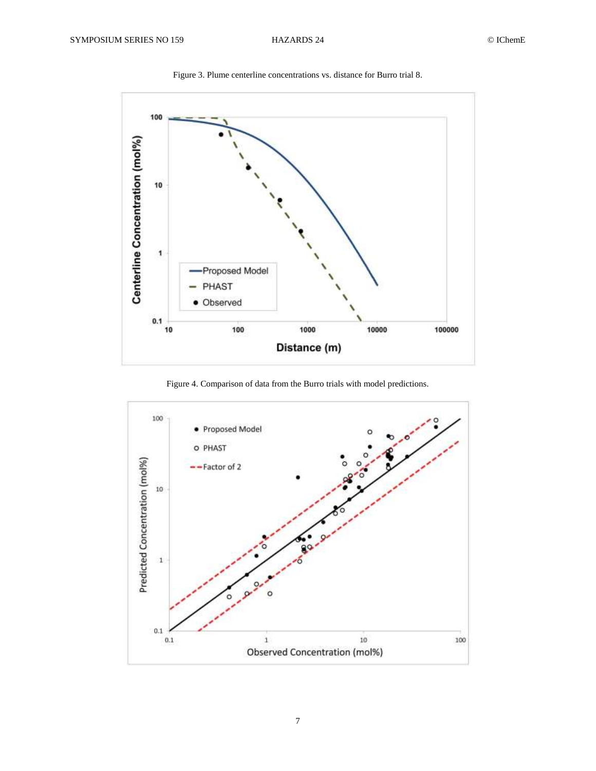

Figure 3. Plume centerline concentrations vs. distance for Burro trial 8.

Figure 4. Comparison of data from the Burro trials with model predictions.